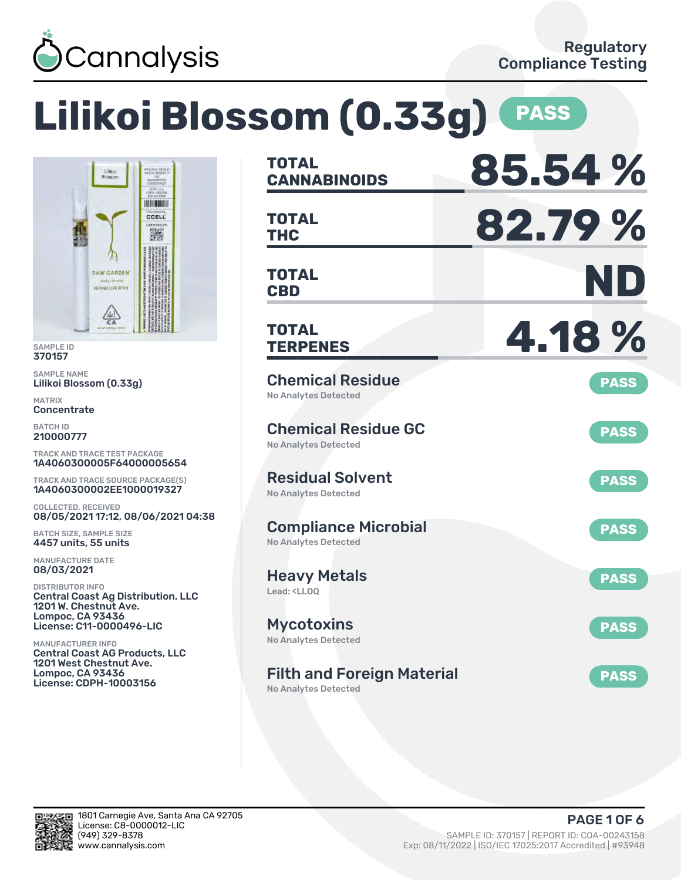

Lilikoi<br>Blosson

RAW GARDEN REFINED LIVE RESI

图

### **Lilikoi Blossom (0.33g) PASS CANNABINOIDS 85.54 % TOTAL** INTENDENT **THC 82.79 % CCELL TOTAL** 濑 **CBD ND TOTAL TERPENES 4.18 % TOTAL** Chemical Residue **PASS** No Analytes Detected Chemical Residue GC **PASS** No Analytes Detected TRACK AND TRACE TEST PACKAGE 1A4060300005F64000005654 Residual Solvent TRACK AND TRACE SOURCE PACKAGE(S) **PASS** 1A4060300002EE1000019327 No Analytes Detected 08/05/2021 17:12, 08/06/2021 04:38 Compliance Microbial **PASS** No Analytes Detected Heavy Metals **PASS** Lead: <LLOQ Central Coast Ag Distribution, LLC **Mycotoxins** License: C11-0000496-LIC **PASS** No Analytes Detected Central Coast AG Products, LLC Filth and Foreign Material **PASS** License: CDPH-10003156

No Analytes Detected



SAMPLE ID 370157 SAMPLE NAME

MATRIX **Concentrate** BATCH ID 210000777

Lilikoi Blossom (0.33g)

COLLECTED, RECEIVED

BATCH SIZE, SAMPLE SIZE 4457 units, 55 units MANUFACTURE DATE 08/03/2021 DISTRIBUTOR INFO

1201 W. Chestnut Ave. Lompoc, CA 93436

1201 West Chestnut Ave. Lompoc, CA 93436

MANUFACTURER INFO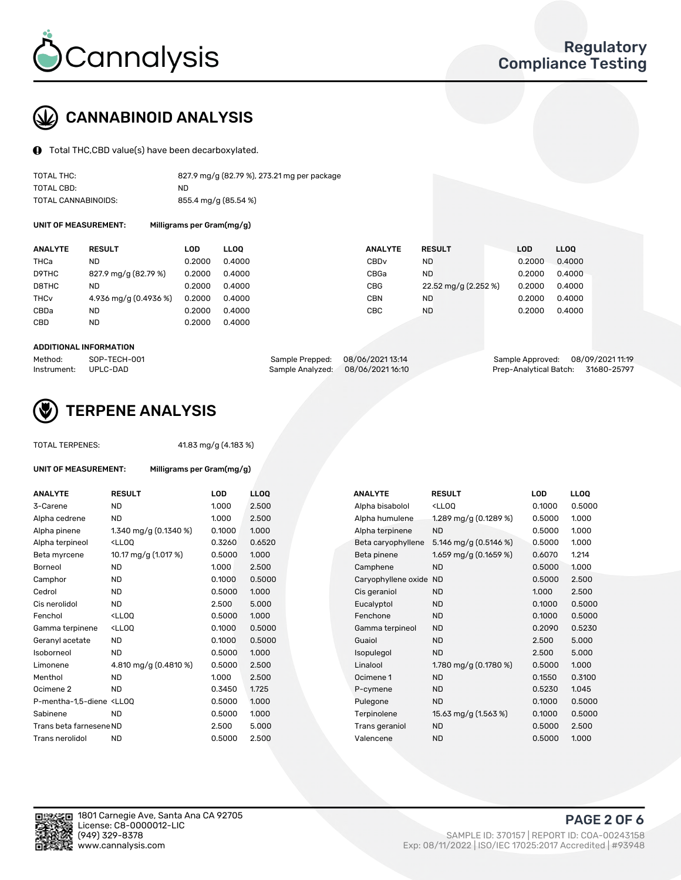

# CANNABINOID ANALYSIS

Total THC,CBD value(s) have been decarboxylated.

| TOTAL THC:          | 827.9 mg/g (82.79 %), 273.21 mg per package |
|---------------------|---------------------------------------------|
| TOTAL CBD:          | ND.                                         |
| TOTAL CANNABINOIDS: | 855.4 mg/g (85.54 %)                        |

UNIT OF MEASUREMENT: Milligrams per Gram(mg/g)

| <b>ANALYTE</b> | <b>RESULT</b>         | LOD    | <b>LLOO</b> | <b>ANALYTE</b>   | <b>RESULT</b>        | LOD    | <b>LLOO</b> |
|----------------|-----------------------|--------|-------------|------------------|----------------------|--------|-------------|
| THCa           | ND.                   | 0.2000 | 0.4000      | CBD <sub>v</sub> | ND                   | 0.2000 | 0.4000      |
| D9THC          | 827.9 mg/g (82.79 %)  | 0.2000 | 0.4000      | CBGa             | ND                   | 0.2000 | 0.4000      |
| D8THC          | ND.                   | 0.2000 | 0.4000      | CBG              | 22.52 mg/g (2.252 %) | 0.2000 | 0.4000      |
| THCv           | 4.936 mg/g (0.4936 %) | 0.2000 | 0.4000      | CBN              | ND                   | 0.2000 | 0.4000      |
| CBDa           | ND.                   | 0.2000 | 0.4000      | CBC              | <b>ND</b>            | 0.2000 | 0.4000      |
| CBD            | ND.                   | 0.2000 | 0.4000      |                  |                      |        |             |
|                |                       |        |             |                  |                      |        |             |

#### ADDITIONAL INFORMATION

| Method:              | SOP-TECH-001 | Sample Prepped: 08/06/202113:14   | Sample Approved: 08/09/2021 11:19  |  |
|----------------------|--------------|-----------------------------------|------------------------------------|--|
| Instrument: UPLC-DAD |              | Sample Analyzed: 08/06/2021 16:10 | Prep-Analytical Batch: 31680-25797 |  |



## TERPENE ANALYSIS

TOTAL TERPENES: 41.83 mg/g (4.183 %)

| UNIT OF MEASUREMENT:                                                          | Milligrams per Gram(mg/g)                         |        |      |
|-------------------------------------------------------------------------------|---------------------------------------------------|--------|------|
| <b>ANALYTE</b>                                                                | <b>RESULT</b>                                     | LOD    | LLO  |
| 3-Carene                                                                      | <b>ND</b>                                         | 1.000  | 2.50 |
| Alpha cedrene                                                                 | <b>ND</b>                                         | 1.000  | 2.50 |
| Alpha pinene                                                                  | 1.340 mg/g $(0.1340\%)$                           | 0.1000 | 1.00 |
| Alpha terpineol                                                               | <lloo< td=""><td>0.3260</td><td>0.65</td></lloo<> | 0.3260 | 0.65 |
| Beta myrcene                                                                  | 10.17 mg/g (1.017 %)                              | 0.5000 | 1.00 |
| Borneol                                                                       | <b>ND</b>                                         | 1.000  | 2.50 |
| Camphor                                                                       | <b>ND</b>                                         | 0.1000 | 0.50 |
| Cedrol                                                                        | <b>ND</b>                                         | 0.5000 | 1.00 |
| Cis nerolidol                                                                 | <b>ND</b>                                         | 2.500  | 5.00 |
| Fenchol                                                                       | <lloo< td=""><td>0.5000</td><td>1.00</td></lloo<> | 0.5000 | 1.00 |
| Gamma terpinene                                                               | <lloo< td=""><td>0.1000</td><td>0.50</td></lloo<> | 0.1000 | 0.50 |
| Geranyl acetate                                                               | <b>ND</b>                                         | 0.1000 | 0.50 |
| Isoborneol                                                                    | <b>ND</b>                                         | 0.5000 | 1.00 |
| Limonene                                                                      | 4.810 mg/g (0.4810 %)                             | 0.5000 | 2.50 |
| Menthol                                                                       | <b>ND</b>                                         | 1.000  | 2.50 |
| Ocimene <sub>2</sub>                                                          | <b>ND</b>                                         | 0.3450 | 1.72 |
| P-mentha-1,5-diene <ll0q< td=""><td></td><td>0.5000</td><td>1.00</td></ll0q<> |                                                   | 0.5000 | 1.00 |
| Sabinene                                                                      | <b>ND</b>                                         | 0.5000 | 1.00 |
| Trans beta farnesene ND                                                       |                                                   | 2.500  | 5.00 |
| Trans nerolidol                                                               | <b>ND</b>                                         | 0.5000 | 2.50 |

| <b>ANALYTE</b>                                                                                                                                  | <b>RESULT</b>                                                                                                                                         | <b>LOD</b> | <b>LLOQ</b> | <b>ANALYTE</b>         | <b>RESULT</b>                                       | <b>LOD</b> | <b>LLOQ</b> |
|-------------------------------------------------------------------------------------------------------------------------------------------------|-------------------------------------------------------------------------------------------------------------------------------------------------------|------------|-------------|------------------------|-----------------------------------------------------|------------|-------------|
| 3-Carene                                                                                                                                        | <b>ND</b>                                                                                                                                             | 1.000      | 2.500       | Alpha bisabolol        | <lloq< td=""><td>0.1000</td><td>0.5000</td></lloq<> | 0.1000     | 0.5000      |
| Alpha cedrene                                                                                                                                   | <b>ND</b>                                                                                                                                             | 1.000      | 2.500       | Alpha humulene         | 1.289 mg/g (0.1289 %)                               | 0.5000     | 1.000       |
| Alpha pinene                                                                                                                                    | 1.340 mg/g $(0.1340\%)$                                                                                                                               | 0.1000     | 1.000       | Alpha terpinene        | <b>ND</b>                                           | 0.5000     | 1.000       |
| Alpha terpineol                                                                                                                                 | <lloq< td=""><td>0.3260</td><td>0.6520</td><td>Beta caryophyllene</td><td>5.146 mg/g <math>(0.5146%)</math></td><td>0.5000</td><td>1.000</td></lloq<> | 0.3260     | 0.6520      | Beta caryophyllene     | 5.146 mg/g $(0.5146%)$                              | 0.5000     | 1.000       |
| Beta myrcene                                                                                                                                    | 10.17 mg/g (1.017 %)                                                                                                                                  | 0.5000     | 1.000       | Beta pinene            | 1.659 mg/g (0.1659 %)                               | 0.6070     | 1.214       |
| Borneol                                                                                                                                         | <b>ND</b>                                                                                                                                             | 1.000      | 2.500       | Camphene               | ND.                                                 | 0.5000     | 1.000       |
| Camphor                                                                                                                                         | <b>ND</b>                                                                                                                                             | 0.1000     | 0.5000      | Caryophyllene oxide ND |                                                     | 0.5000     | 2.500       |
| Cedrol                                                                                                                                          | <b>ND</b>                                                                                                                                             | 0.5000     | 1.000       | Cis geraniol           | ND.                                                 | 1.000      | 2.500       |
| Cis nerolidol                                                                                                                                   | <b>ND</b>                                                                                                                                             | 2.500      | 5.000       | Eucalyptol             | <b>ND</b>                                           | 0.1000     | 0.5000      |
| Fenchol                                                                                                                                         | <lloq< td=""><td>0.5000</td><td>1.000</td><td>Fenchone</td><td><b>ND</b></td><td>0.1000</td><td>0.5000</td></lloq<>                                   | 0.5000     | 1.000       | Fenchone               | <b>ND</b>                                           | 0.1000     | 0.5000      |
| Gamma terpinene                                                                                                                                 | <lloq< td=""><td>0.1000</td><td>0.5000</td><td>Gamma terpineol</td><td><b>ND</b></td><td>0.2090</td><td>0.5230</td></lloq<>                           | 0.1000     | 0.5000      | Gamma terpineol        | <b>ND</b>                                           | 0.2090     | 0.5230      |
| Geranyl acetate                                                                                                                                 | ND.                                                                                                                                                   | 0.1000     | 0.5000      | Guaiol                 | ND.                                                 | 2.500      | 5.000       |
| Isoborneol                                                                                                                                      | <b>ND</b>                                                                                                                                             | 0.5000     | 1.000       | Isopulegol             | <b>ND</b>                                           | 2.500      | 5.000       |
| Limonene                                                                                                                                        | 4.810 mg/g (0.4810 %)                                                                                                                                 | 0.5000     | 2.500       | Linalool               | 1.780 mg/g (0.1780 %)                               | 0.5000     | 1.000       |
| Menthol                                                                                                                                         | <b>ND</b>                                                                                                                                             | 1.000      | 2.500       | Ocimene 1              | <b>ND</b>                                           | 0.1550     | 0.3100      |
| Ocimene 2                                                                                                                                       | <b>ND</b>                                                                                                                                             | 0.3450     | 1.725       | P-cymene               | <b>ND</b>                                           | 0.5230     | 1.045       |
| P-mentha-1,5-diene <lloq< td=""><td></td><td>0.5000</td><td>1.000</td><td>Pulegone</td><td><b>ND</b></td><td>0.1000</td><td>0.5000</td></lloq<> |                                                                                                                                                       | 0.5000     | 1.000       | Pulegone               | <b>ND</b>                                           | 0.1000     | 0.5000      |
| Sabinene                                                                                                                                        | <b>ND</b>                                                                                                                                             | 0.5000     | 1.000       | Terpinolene            | 15.63 mg/g (1.563 %)                                | 0.1000     | 0.5000      |
| Trans beta farneseneND                                                                                                                          |                                                                                                                                                       | 2.500      | 5.000       | Trans geraniol         | ND.                                                 | 0.5000     | 2.500       |
| Trans nerolidol                                                                                                                                 | <b>ND</b>                                                                                                                                             | 0.5000     | 2.500       | Valencene              | <b>ND</b>                                           | 0.5000     | 1.000       |
|                                                                                                                                                 |                                                                                                                                                       |            |             |                        |                                                     |            |             |

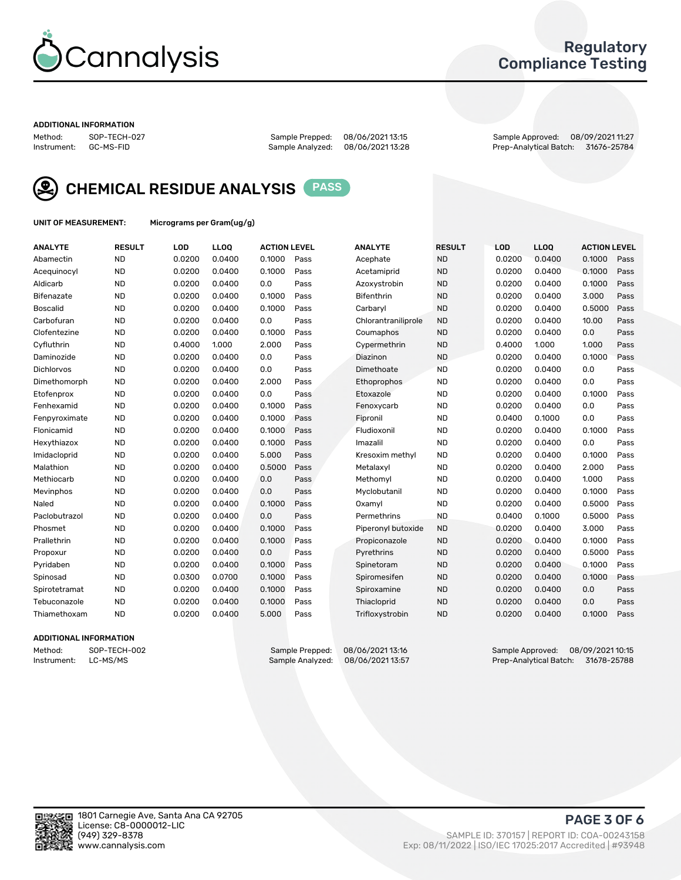

## Regulatory Compliance Testing

#### ADDITIONAL INFORMATION

Method: SOP-TECH-027 Sample Prepped: 08/06/2021 13:15 Sample Approved: 08/09/2021 11:27 Prep-Analytical Batch: 31676-25784



CHEMICAL RESIDUE ANALYSIS PASS

UNIT OF MEASUREMENT: Micrograms per Gram(ug/g)

| <b>ANALYTE</b>    | <b>RESULT</b> | LOD    | LL <sub>OO</sub> | <b>ACTION LEVEL</b> |      | <b>ANALYTE</b>      | <b>RESULT</b> | <b>LOD</b> | <b>LLOQ</b> | <b>ACTION LEVEL</b> |      |
|-------------------|---------------|--------|------------------|---------------------|------|---------------------|---------------|------------|-------------|---------------------|------|
| Abamectin         | <b>ND</b>     | 0.0200 | 0.0400           | 0.1000              | Pass | Acephate            | <b>ND</b>     | 0.0200     | 0.0400      | 0.1000              | Pass |
| Acequinocyl       | <b>ND</b>     | 0.0200 | 0.0400           | 0.1000              | Pass | Acetamiprid         | <b>ND</b>     | 0.0200     | 0.0400      | 0.1000              | Pass |
| Aldicarb          | <b>ND</b>     | 0.0200 | 0.0400           | 0.0                 | Pass | Azoxystrobin        | <b>ND</b>     | 0.0200     | 0.0400      | 0.1000              | Pass |
| Bifenazate        | <b>ND</b>     | 0.0200 | 0.0400           | 0.1000              | Pass | <b>Bifenthrin</b>   | <b>ND</b>     | 0.0200     | 0.0400      | 3.000               | Pass |
| <b>Boscalid</b>   | <b>ND</b>     | 0.0200 | 0.0400           | 0.1000              | Pass | Carbaryl            | <b>ND</b>     | 0.0200     | 0.0400      | 0.5000              | Pass |
| Carbofuran        | <b>ND</b>     | 0.0200 | 0.0400           | 0.0                 | Pass | Chlorantraniliprole | <b>ND</b>     | 0.0200     | 0.0400      | 10.00               | Pass |
| Clofentezine      | <b>ND</b>     | 0.0200 | 0.0400           | 0.1000              | Pass | Coumaphos           | <b>ND</b>     | 0.0200     | 0.0400      | 0.0                 | Pass |
| Cyfluthrin        | <b>ND</b>     | 0.4000 | 1.000            | 2.000               | Pass | Cypermethrin        | <b>ND</b>     | 0.4000     | 1.000       | 1.000               | Pass |
| Daminozide        | <b>ND</b>     | 0.0200 | 0.0400           | 0.0                 | Pass | Diazinon            | <b>ND</b>     | 0.0200     | 0.0400      | 0.1000              | Pass |
| <b>Dichlorvos</b> | <b>ND</b>     | 0.0200 | 0.0400           | 0.0                 | Pass | Dimethoate          | <b>ND</b>     | 0.0200     | 0.0400      | 0.0                 | Pass |
| Dimethomorph      | <b>ND</b>     | 0.0200 | 0.0400           | 2.000               | Pass | <b>Ethoprophos</b>  | <b>ND</b>     | 0.0200     | 0.0400      | 0.0                 | Pass |
| Etofenprox        | <b>ND</b>     | 0.0200 | 0.0400           | 0.0                 | Pass | Etoxazole           | <b>ND</b>     | 0.0200     | 0.0400      | 0.1000              | Pass |
| Fenhexamid        | <b>ND</b>     | 0.0200 | 0.0400           | 0.1000              | Pass | Fenoxycarb          | <b>ND</b>     | 0.0200     | 0.0400      | 0.0                 | Pass |
| Fenpyroximate     | <b>ND</b>     | 0.0200 | 0.0400           | 0.1000              | Pass | Fipronil            | <b>ND</b>     | 0.0400     | 0.1000      | 0.0                 | Pass |
| Flonicamid        | <b>ND</b>     | 0.0200 | 0.0400           | 0.1000              | Pass | Fludioxonil         | <b>ND</b>     | 0.0200     | 0.0400      | 0.1000              | Pass |
| Hexythiazox       | <b>ND</b>     | 0.0200 | 0.0400           | 0.1000              | Pass | Imazalil            | <b>ND</b>     | 0.0200     | 0.0400      | 0.0                 | Pass |
| Imidacloprid      | <b>ND</b>     | 0.0200 | 0.0400           | 5.000               | Pass | Kresoxim methyl     | <b>ND</b>     | 0.0200     | 0.0400      | 0.1000              | Pass |
| Malathion         | <b>ND</b>     | 0.0200 | 0.0400           | 0.5000              | Pass | Metalaxyl           | <b>ND</b>     | 0.0200     | 0.0400      | 2.000               | Pass |
| Methiocarb        | <b>ND</b>     | 0.0200 | 0.0400           | 0.0                 | Pass | Methomyl            | <b>ND</b>     | 0.0200     | 0.0400      | 1.000               | Pass |
| Mevinphos         | <b>ND</b>     | 0.0200 | 0.0400           | 0.0                 | Pass | Myclobutanil        | <b>ND</b>     | 0.0200     | 0.0400      | 0.1000              | Pass |
| Naled             | <b>ND</b>     | 0.0200 | 0.0400           | 0.1000              | Pass | Oxamyl              | <b>ND</b>     | 0.0200     | 0.0400      | 0.5000              | Pass |
| Paclobutrazol     | <b>ND</b>     | 0.0200 | 0.0400           | 0.0                 | Pass | Permethrins         | <b>ND</b>     | 0.0400     | 0.1000      | 0.5000              | Pass |
| Phosmet           | <b>ND</b>     | 0.0200 | 0.0400           | 0.1000              | Pass | Piperonyl butoxide  | <b>ND</b>     | 0.0200     | 0.0400      | 3.000               | Pass |
| Prallethrin       | <b>ND</b>     | 0.0200 | 0.0400           | 0.1000              | Pass | Propiconazole       | <b>ND</b>     | 0.0200     | 0.0400      | 0.1000              | Pass |
| Propoxur          | <b>ND</b>     | 0.0200 | 0.0400           | 0.0                 | Pass | Pyrethrins          | <b>ND</b>     | 0.0200     | 0.0400      | 0.5000              | Pass |
| Pyridaben         | <b>ND</b>     | 0.0200 | 0.0400           | 0.1000              | Pass | Spinetoram          | <b>ND</b>     | 0.0200     | 0.0400      | 0.1000              | Pass |
| Spinosad          | <b>ND</b>     | 0.0300 | 0.0700           | 0.1000              | Pass | Spiromesifen        | <b>ND</b>     | 0.0200     | 0.0400      | 0.1000              | Pass |
| Spirotetramat     | <b>ND</b>     | 0.0200 | 0.0400           | 0.1000              | Pass | Spiroxamine         | <b>ND</b>     | 0.0200     | 0.0400      | 0.0                 | Pass |
| Tebuconazole      | <b>ND</b>     | 0.0200 | 0.0400           | 0.1000              | Pass | Thiacloprid         | <b>ND</b>     | 0.0200     | 0.0400      | 0.0                 | Pass |
| Thiamethoxam      | <b>ND</b>     | 0.0200 | 0.0400           | 5.000               | Pass | Trifloxystrobin     | <b>ND</b>     | 0.0200     | 0.0400      | 0.1000              | Pass |

### ADDITIONAL INFORMATION

Method: SOP-TECH-002 Sample Prepped: 08/06/202113:16 Sample Approved: 08/09/2021 10:15<br>Instrument: LC-MS/MS Sample Analyzed: 08/06/202113:57 Prep-Analytical Batch: 31678-25788 Prep-Analytical Batch: 31678-25788

PAGE 3 OF 6

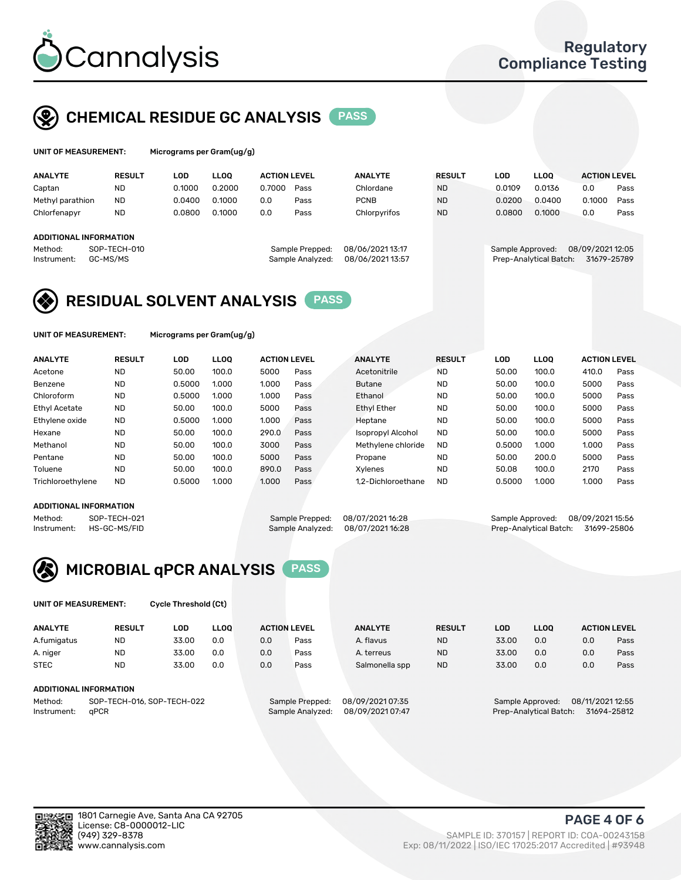

# CHEMICAL RESIDUE GC ANALYSIS PASS

| UNIT OF MEASUREMENT: | Mi |
|----------------------|----|
|                      |    |

crograms per Gram(ug/g)

| <b>RESULT</b>                 | LOD                    | <b>LLOO</b> |        |      | <b>ANALYTE</b>                                             | <b>RESULT</b> | LOD    | <b>LLOO</b> | <b>ACTION LEVEL</b> |                                            |
|-------------------------------|------------------------|-------------|--------|------|------------------------------------------------------------|---------------|--------|-------------|---------------------|--------------------------------------------|
| <b>ND</b>                     | 0.1000                 | 0.2000      | 0.7000 | Pass | Chlordane                                                  | <b>ND</b>     | 0.0109 | 0.0136      | 0.0                 | Pass                                       |
| <b>ND</b><br>Methyl parathion | 0.0400                 | 0.1000      | 0.0    | Pass | <b>PCNB</b>                                                | <b>ND</b>     | 0.0200 | 0.0400      | 0.1000              | Pass                                       |
| <b>ND</b>                     | 0.0800                 | 0.1000      | 0.0    | Pass | Chlorpyrifos                                               | <b>ND</b>     | 0.0800 | 0.1000      | 0.0                 | Pass                                       |
|                               |                        |             |        |      |                                                            |               |        |             |                     |                                            |
|                               |                        |             |        |      |                                                            |               |        |             |                     |                                            |
| SOP-TECH-010                  |                        |             |        |      | 08/06/202113:17                                            |               |        |             |                     |                                            |
| GC-MS/MS                      |                        |             |        |      | 08/06/2021 13:57                                           |               |        |             | 31679-25789         |                                            |
|                               | ADDITIONAL INFORMATION |             |        |      | <b>ACTION LEVEL</b><br>Sample Prepped:<br>Sample Analyzed: |               |        |             | Sample Approved:    | 08/09/2021 12:05<br>Prep-Analytical Batch: |

# RESIDUAL SOLVENT ANALYSIS PASS

UNIT OF MEASUREMENT: Micrograms per Gram(ug/g)

| <b>ANALYTE</b>       | <b>RESULT</b> | <b>LOD</b> | <b>LLOO</b> | <b>ACTION LEVEL</b> |      | <b>ANALYTE</b>           | <b>RESULT</b> | LOD    | <b>LLOO</b> | <b>ACTION LEVEL</b> |      |
|----------------------|---------------|------------|-------------|---------------------|------|--------------------------|---------------|--------|-------------|---------------------|------|
| Acetone              | <b>ND</b>     | 50.00      | 100.0       | 5000                | Pass | Acetonitrile             | <b>ND</b>     | 50.00  | 100.0       | 410.0               | Pass |
| Benzene              | <b>ND</b>     | 0.5000     | 1.000       | 1.000               | Pass | <b>Butane</b>            | <b>ND</b>     | 50.00  | 100.0       | 5000                | Pass |
| Chloroform           | <b>ND</b>     | 0.5000     | 1.000       | 1.000               | Pass | Ethanol                  | <b>ND</b>     | 50.00  | 100.0       | 5000                | Pass |
| <b>Ethyl Acetate</b> | <b>ND</b>     | 50.00      | 100.0       | 5000                | Pass | <b>Ethyl Ether</b>       | <b>ND</b>     | 50.00  | 100.0       | 5000                | Pass |
| Ethylene oxide       | <b>ND</b>     | 0.5000     | 1.000       | 1.000               | Pass | Heptane                  | <b>ND</b>     | 50.00  | 100.0       | 5000                | Pass |
| Hexane               | <b>ND</b>     | 50.00      | 100.0       | 290.0               | Pass | <b>Isopropyl Alcohol</b> | <b>ND</b>     | 50.00  | 100.0       | 5000                | Pass |
| Methanol             | <b>ND</b>     | 50.00      | 100.0       | 3000                | Pass | Methylene chloride       | <b>ND</b>     | 0.5000 | 1.000       | 1.000               | Pass |
| Pentane              | <b>ND</b>     | 50.00      | 100.0       | 5000                | Pass | Propane                  | <b>ND</b>     | 50.00  | 200.0       | 5000                | Pass |
| Toluene              | <b>ND</b>     | 50.00      | 100.0       | 890.0               | Pass | <b>Xylenes</b>           | <b>ND</b>     | 50.08  | 100.0       | 2170                | Pass |
| Trichloroethylene    | <b>ND</b>     | 0.5000     | 1.000       | 1.000               | Pass | 1.2-Dichloroethane       | <b>ND</b>     | 0.5000 | 1.000       | 1.000               | Pass |

### ADDITIONAL INFORMATION

Method: SOP-TECH-021 Sample Prepped: 08/07/2021 16:28 Sample Approved: 08/09/2021 15:56<br>Instrument: HS-GC-MS/FID Sample Analyzed: 08/07/2021 16:28 Prep-Analytical Batch: 31699-25806 Prep-Analytical Batch: 31699-25806



UNIT OF MEASUREMENT: Cycle Threshold (Ct)

| <b>ANALYTE</b> | <b>RESULT</b>                 | LOD   | <b>LLOO</b> |     | <b>ACTION LEVEL</b> | <b>ANALYTE</b>   | <b>RESULT</b> | <b>LOD</b> | <b>LLOO</b>      |                  | <b>ACTION LEVEL</b> |
|----------------|-------------------------------|-------|-------------|-----|---------------------|------------------|---------------|------------|------------------|------------------|---------------------|
| A.fumigatus    | <b>ND</b>                     | 33.00 | 0.0         | 0.0 | Pass                | A. flavus        | <b>ND</b>     | 33.00      | 0.0              | 0.0              | Pass                |
| A. niger       | <b>ND</b>                     | 33.00 | 0.0         | 0.0 | Pass                | A. terreus       | <b>ND</b>     | 33.00      | 0.0              | 0.0              | Pass                |
| <b>STEC</b>    | <b>ND</b>                     | 33.00 | 0.0         | 0.0 | Pass                | Salmonella spp   | <b>ND</b>     | 33.00      | 0.0              | 0.0              | Pass                |
|                | <b>ADDITIONAL INFORMATION</b> |       |             |     |                     |                  |               |            |                  |                  |                     |
| Method:        | SOP-TECH-016, SOP-TECH-022    |       |             |     | Sample Prepped:     | 08/09/2021 07:35 |               |            | Sample Approved: | 08/11/2021 12:55 |                     |

Instrument: qPCR<br>Instrument: qPCR Sample Analyzed: 08/09/2021 07:47 Prep-Analytical Batch: 31694-25812

PAGE 4 OF 6

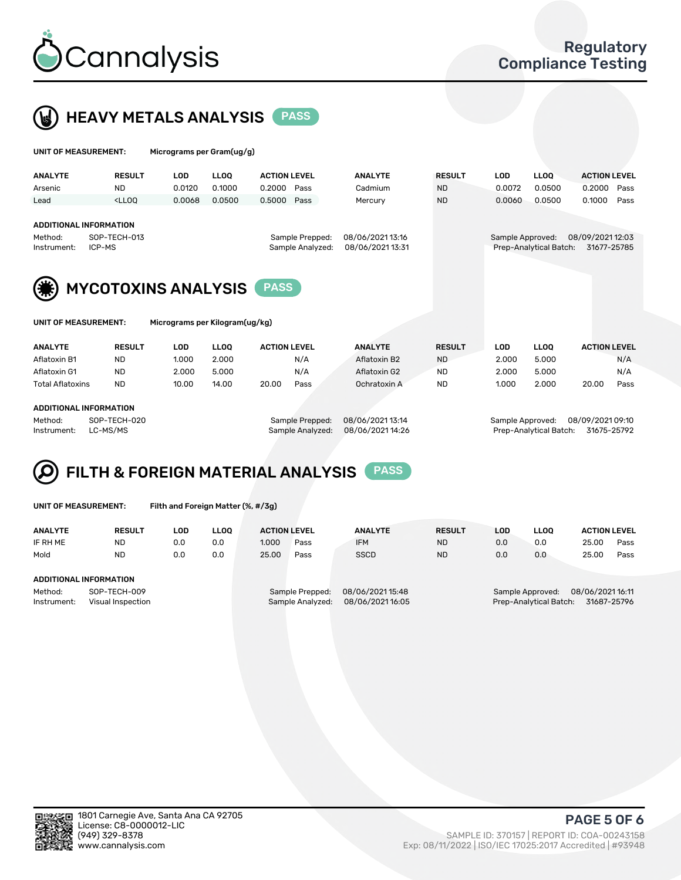



| UNIT OF MEASUREMENT:                                              |               | Micrograms per Gram(ug/g)      |        |                                     |                                      |               |                  |                        |                                 |      |
|-------------------------------------------------------------------|---------------|--------------------------------|--------|-------------------------------------|--------------------------------------|---------------|------------------|------------------------|---------------------------------|------|
| <b>ANALYTE</b>                                                    | <b>RESULT</b> | <b>LOD</b>                     | LLOO   | <b>ACTION LEVEL</b>                 | <b>ANALYTE</b>                       | <b>RESULT</b> | <b>LOD</b>       | <b>LLOQ</b>            | <b>ACTION LEVEL</b>             |      |
| Arsenic                                                           | <b>ND</b>     | 0.0120                         | 0.1000 | 0.2000<br>Pass                      | Cadmium                              | <b>ND</b>     | 0.0072           | 0.0500                 | 0.2000                          | Pass |
| Lead                                                              | $<$ LLOO      | 0.0068                         | 0.0500 | Pass<br>0.5000                      | Mercury                              | <b>ND</b>     | 0.0060           | 0.0500                 | 0.1000                          | Pass |
| <b>ADDITIONAL INFORMATION</b><br>Method:<br>ICP-MS<br>Instrument: | SOP-TECH-013  |                                |        | Sample Prepped:<br>Sample Analyzed: | 08/06/2021 13:16<br>08/06/2021 13:31 |               | Sample Approved: | Prep-Analytical Batch: | 08/09/2021 12:03<br>31677-25785 |      |
|                                                                   |               | <b>MYCOTOXINS ANALYSIS</b>     |        | <b>PASS</b>                         |                                      |               |                  |                        |                                 |      |
| UNIT OF MEASUREMENT:                                              |               | Micrograms per Kilogram(ug/kg) |        |                                     |                                      |               |                  |                        |                                 |      |
| <b>ANALYTE</b>                                                    | <b>RESULT</b> | <b>LOD</b>                     | LLOO   | <b>ACTION LEVEL</b>                 | <b>ANALYTE</b>                       | <b>RESULT</b> | <b>LOD</b>       | <b>LLOQ</b>            | <b>ACTION LEVEL</b>             |      |
| Aflatoxin B1                                                      | <b>ND</b>     | 1.000                          | 2.000  | N/A                                 | Aflatoxin B2                         | <b>ND</b>     | 2.000            | 5.000                  |                                 | N/A  |
| Aflatoxin G1                                                      | <b>ND</b>     | 2.000                          | 5.000  | N/A                                 | Aflatoxin G2                         | <b>ND</b>     | 2.000            | 5.000                  |                                 | N/A  |
| <b>Total Aflatoxins</b>                                           | <b>ND</b>     | 10.00                          | 14.00  | 20.00<br>Pass                       | Ochratoxin A                         | <b>ND</b>     | 1.000            | 2.000                  | 20.00                           | Pass |

#### ADDITIONAL INFORMATION

Method: SOP-TECH-020 Sample Prepped: 08/06/2021 13:14 Sample Approved: 08/09/2021 09:10 Instrument: LC-MS/MS Sample Analyzed: 08/06/2021 14:26 Prep-Analytical Batch: 31675-25792

#### FILTH & FOREIGN MATERIAL ANALYSIS PASS Q

UNIT OF MEASUREMENT: Filth and Foreign Matter (%, #/3g)

| <b>ANALYTE</b>         | <b>RESULT</b>                     | LOD. | LLOO | <b>ACTION LEVEL</b> |                                     | <b>ANALYTE</b>                       | <b>RESULT</b> | LOD | <b>LLOO</b>                                | <b>ACTION LEVEL</b>            |      |
|------------------------|-----------------------------------|------|------|---------------------|-------------------------------------|--------------------------------------|---------------|-----|--------------------------------------------|--------------------------------|------|
| IF RH ME               | <b>ND</b>                         | 0.0  | 0.0  | 1.000               | Pass                                | <b>IFM</b>                           | <b>ND</b>     | 0.0 | 0.0                                        | 25.00                          | Pass |
| Mold                   | <b>ND</b>                         | 0.0  | 0.0  | 25.00               | Pass                                | <b>SSCD</b>                          | <b>ND</b>     | 0.0 | 0.0                                        | 25.00                          | Pass |
| ADDITIONAL INFORMATION |                                   |      |      |                     |                                     |                                      |               |     |                                            |                                |      |
| Method:<br>Instrument: | SOP-TECH-009<br>Visual Inspection |      |      |                     | Sample Prepped:<br>Sample Analyzed: | 08/06/2021 15:48<br>08/06/2021 16:05 |               |     | Sample Approved:<br>Prep-Analytical Batch: | 08/06/202116:11<br>31687-25796 |      |